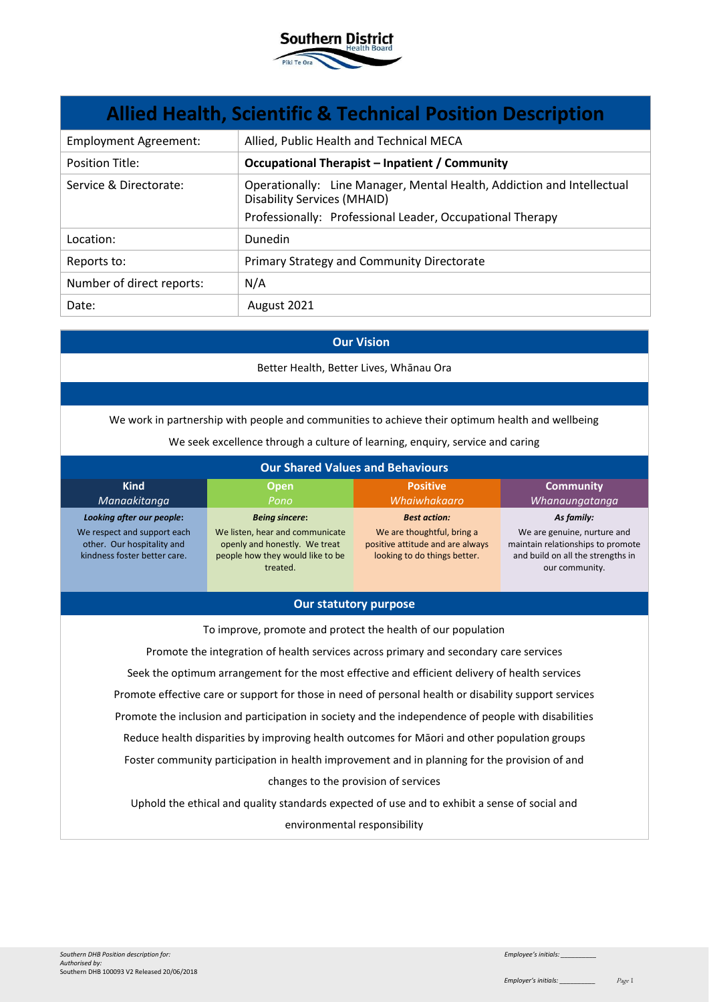

| <b>Allied Health, Scientific &amp; Technical Position Description</b> |                                                                                                                                                                           |  |
|-----------------------------------------------------------------------|---------------------------------------------------------------------------------------------------------------------------------------------------------------------------|--|
| <b>Employment Agreement:</b>                                          | Allied, Public Health and Technical MECA                                                                                                                                  |  |
| <b>Position Title:</b>                                                | <b>Occupational Therapist - Inpatient / Community</b>                                                                                                                     |  |
| Service & Directorate:                                                | Operationally: Line Manager, Mental Health, Addiction and Intellectual<br><b>Disability Services (MHAID)</b><br>Professionally: Professional Leader, Occupational Therapy |  |
| Location:                                                             | <b>Dunedin</b>                                                                                                                                                            |  |
| Reports to:                                                           | Primary Strategy and Community Directorate                                                                                                                                |  |
| Number of direct reports:                                             | N/A                                                                                                                                                                       |  |
| Date:                                                                 | August 2021                                                                                                                                                               |  |

### **Our Vision**

Better Health, Better Lives, Whānau Ora

We work in partnership with people and communities to achieve their optimum health and wellbeing

We seek excellence through a culture of learning, enquiry, service and caring

| <b>Our Shared Values and Behaviours</b>                                                                                |                                                                                                                                           |                                                                                                                       |                                                                                                                                       |
|------------------------------------------------------------------------------------------------------------------------|-------------------------------------------------------------------------------------------------------------------------------------------|-----------------------------------------------------------------------------------------------------------------------|---------------------------------------------------------------------------------------------------------------------------------------|
| <b>Kind</b><br>Manaakitanga                                                                                            | <b>Open</b><br>Pono                                                                                                                       | <b>Positive</b><br>Whaiwhakaaro                                                                                       | <b>Community</b><br>Whanaungatanga                                                                                                    |
| Looking after our people:<br>We respect and support each<br>other. Our hospitality and<br>kindness foster better care. | <b>Being sincere:</b><br>We listen, hear and communicate<br>openly and honestly. We treat<br>people how they would like to be<br>treated. | <b>Best action:</b><br>We are thoughtful, bring a<br>positive attitude and are always<br>looking to do things better. | As family:<br>We are genuine, nurture and<br>maintain relationships to promote<br>and build on all the strengths in<br>our community. |

## **Our statutory purpose**

To improve, promote and protect the health of our population

Promote the integration of health services across primary and secondary care services Seek the optimum arrangement for the most effective and efficient delivery of health services Promote effective care or support for those in need of personal health or disability support services Promote the inclusion and participation in society and the independence of people with disabilities Reduce health disparities by improving health outcomes for Māori and other population groups Foster community participation in health improvement and in planning for the provision of and changes to the provision of services

Uphold the ethical and quality standards expected of use and to exhibit a sense of social and environmental responsibility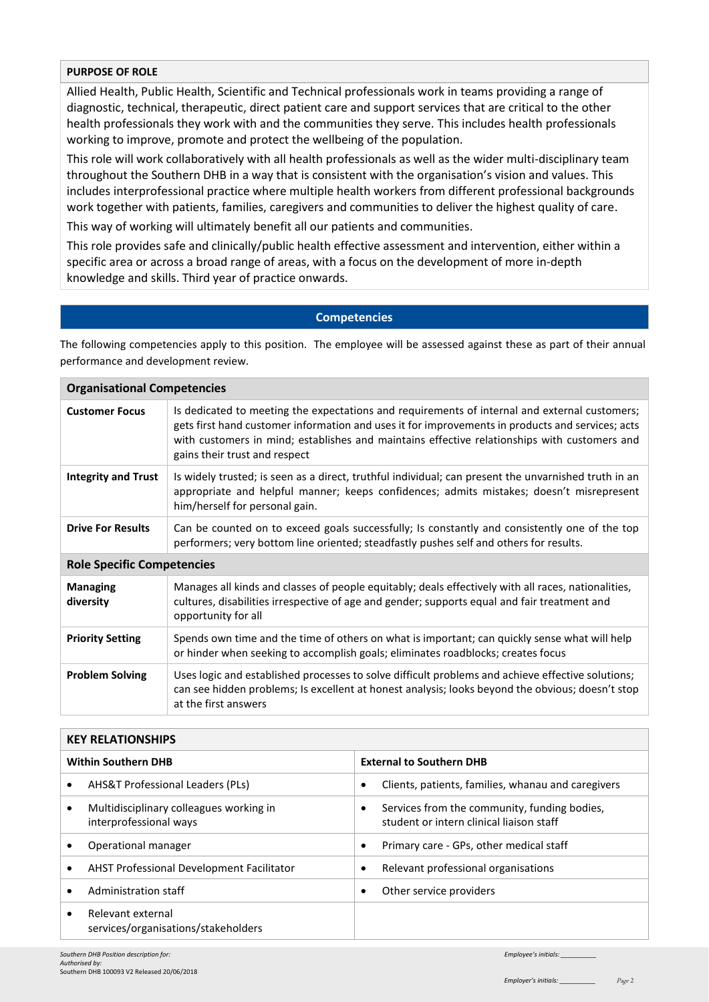# **PURPOSE OF ROLE**

Allied Health, Public Health, Scientific and Technical professionals work in teams providing a range of diagnostic, technical, therapeutic, direct patient care and support services that are critical to the other health professionals they work with and the communities they serve. This includes health professionals working to improve, promote and protect the wellbeing of the population.

This role will work collaboratively with all health professionals as well as the wider multi-disciplinary team throughout the Southern DHB in a way that is consistent with the organisation's vision and values. This includes interprofessional practice where multiple health workers from different professional backgrounds work together with patients, families, caregivers and communities to deliver the highest quality of care.

This way of working will ultimately benefit all our patients and communities.

This role provides safe and clinically/public health effective assessment and intervention, either within a specific area or across a broad range of areas, with a focus on the development of more in-depth knowledge and skills. Third year of practice onwards.

## **Competencies**

The following competencies apply to this position. The employee will be assessed against these as part of their annual performance and development review.

| <b>Organisational Competencies</b> |                                                                                                                                                                                                                                                                                                                                    |  |  |
|------------------------------------|------------------------------------------------------------------------------------------------------------------------------------------------------------------------------------------------------------------------------------------------------------------------------------------------------------------------------------|--|--|
| <b>Customer Focus</b>              | Is dedicated to meeting the expectations and requirements of internal and external customers;<br>gets first hand customer information and uses it for improvements in products and services; acts<br>with customers in mind; establishes and maintains effective relationships with customers and<br>gains their trust and respect |  |  |
| <b>Integrity and Trust</b>         | Is widely trusted; is seen as a direct, truthful individual; can present the unvarnished truth in an<br>appropriate and helpful manner; keeps confidences; admits mistakes; doesn't misrepresent<br>him/herself for personal gain.                                                                                                 |  |  |
| <b>Drive For Results</b>           | Can be counted on to exceed goals successfully; Is constantly and consistently one of the top<br>performers; very bottom line oriented; steadfastly pushes self and others for results.                                                                                                                                            |  |  |
| <b>Role Specific Competencies</b>  |                                                                                                                                                                                                                                                                                                                                    |  |  |
| <b>Managing</b><br>diversity       | Manages all kinds and classes of people equitably; deals effectively with all races, nationalities,<br>cultures, disabilities irrespective of age and gender; supports equal and fair treatment and<br>opportunity for all                                                                                                         |  |  |
| <b>Priority Setting</b>            | Spends own time and the time of others on what is important; can quickly sense what will help<br>or hinder when seeking to accomplish goals; eliminates roadblocks; creates focus                                                                                                                                                  |  |  |
| <b>Problem Solving</b>             | Uses logic and established processes to solve difficult problems and achieve effective solutions;<br>can see hidden problems; Is excellent at honest analysis; looks beyond the obvious; doesn't stop<br>at the first answers                                                                                                      |  |  |

| <b>KEY RELATIONSHIPS</b>                                                       |                                                                                               |  |
|--------------------------------------------------------------------------------|-----------------------------------------------------------------------------------------------|--|
| <b>Within Southern DHB</b>                                                     | <b>External to Southern DHB</b>                                                               |  |
| AHS&T Professional Leaders (PLs)<br>$\bullet$                                  | Clients, patients, families, whanau and caregivers<br>$\bullet$                               |  |
| Multidisciplinary colleagues working in<br>$\bullet$<br>interprofessional ways | Services from the community, funding bodies,<br>٠<br>student or intern clinical liaison staff |  |
| Operational manager                                                            | Primary care - GPs, other medical staff                                                       |  |
| <b>AHST Professional Development Facilitator</b><br>$\bullet$                  | Relevant professional organisations                                                           |  |
| Administration staff<br>$\bullet$                                              | Other service providers                                                                       |  |
| Relevant external<br>$\bullet$<br>services/organisations/stakeholders          |                                                                                               |  |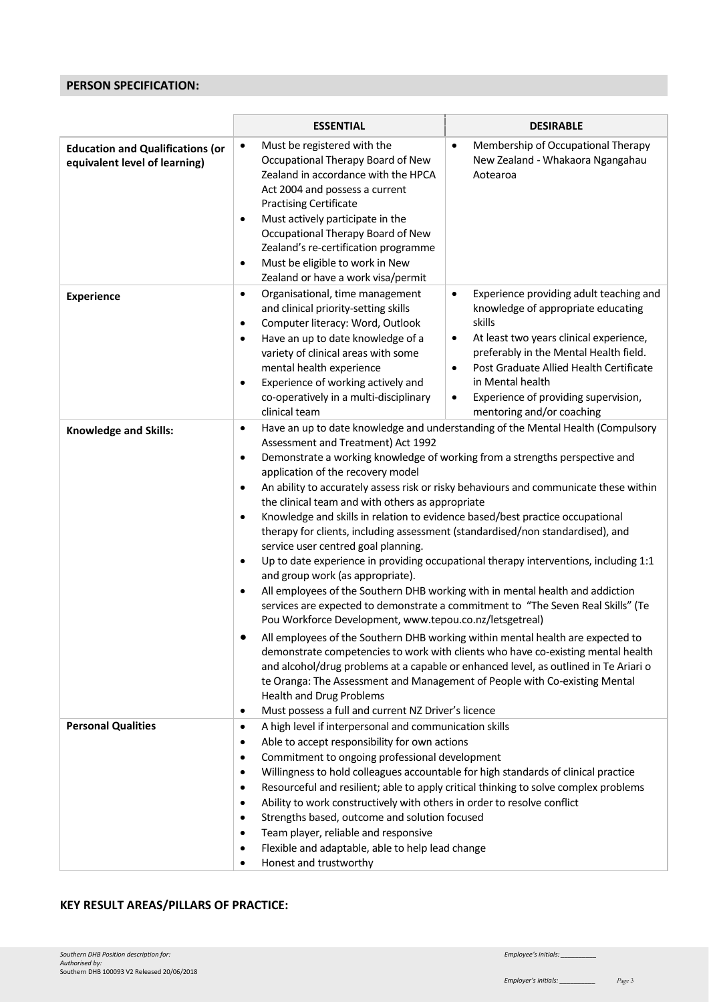# **PERSON SPECIFICATION:**

|                                                                          | <b>ESSENTIAL</b>                                                                                                                                                                                                                                                                                                                                                                                                                                                                         | <b>DESIRABLE</b>                                                                                                                                                                                                                                                                                                                                                                                                                                                                                                                                                                                                                                                                                                                                                                                                                                                                                                                                                                                                                                                                                                                                   |  |  |  |
|--------------------------------------------------------------------------|------------------------------------------------------------------------------------------------------------------------------------------------------------------------------------------------------------------------------------------------------------------------------------------------------------------------------------------------------------------------------------------------------------------------------------------------------------------------------------------|----------------------------------------------------------------------------------------------------------------------------------------------------------------------------------------------------------------------------------------------------------------------------------------------------------------------------------------------------------------------------------------------------------------------------------------------------------------------------------------------------------------------------------------------------------------------------------------------------------------------------------------------------------------------------------------------------------------------------------------------------------------------------------------------------------------------------------------------------------------------------------------------------------------------------------------------------------------------------------------------------------------------------------------------------------------------------------------------------------------------------------------------------|--|--|--|
| <b>Education and Qualifications (or</b><br>equivalent level of learning) | Must be registered with the<br>$\bullet$<br>Occupational Therapy Board of New<br>Zealand in accordance with the HPCA<br>Act 2004 and possess a current<br><b>Practising Certificate</b><br>Must actively participate in the<br>٠<br>Occupational Therapy Board of New<br>Zealand's re-certification programme<br>Must be eligible to work in New<br>$\bullet$<br>Zealand or have a work visa/permit                                                                                      | Membership of Occupational Therapy<br>$\bullet$<br>New Zealand - Whakaora Ngangahau<br>Aotearoa                                                                                                                                                                                                                                                                                                                                                                                                                                                                                                                                                                                                                                                                                                                                                                                                                                                                                                                                                                                                                                                    |  |  |  |
| <b>Experience</b>                                                        | Organisational, time management<br>$\bullet$<br>and clinical priority-setting skills<br>Computer literacy: Word, Outlook<br>$\bullet$<br>Have an up to date knowledge of a<br>$\bullet$<br>variety of clinical areas with some<br>mental health experience<br>Experience of working actively and<br>$\bullet$<br>co-operatively in a multi-disciplinary<br>clinical team                                                                                                                 | Experience providing adult teaching and<br>$\bullet$<br>knowledge of appropriate educating<br>skills<br>At least two years clinical experience,<br>$\bullet$<br>preferably in the Mental Health field.<br>Post Graduate Allied Health Certificate<br>$\bullet$<br>in Mental health<br>Experience of providing supervision,<br>٠<br>mentoring and/or coaching                                                                                                                                                                                                                                                                                                                                                                                                                                                                                                                                                                                                                                                                                                                                                                                       |  |  |  |
| <b>Knowledge and Skills:</b>                                             | $\bullet$<br>Assessment and Treatment) Act 1992<br>$\bullet$<br>application of the recovery model<br>$\bullet$<br>$\bullet$<br>service user centred goal planning.<br>$\bullet$<br>and group work (as appropriate).<br>٠<br>$\bullet$<br><b>Health and Drug Problems</b><br>Must possess a full and current NZ Driver's licence<br>٠                                                                                                                                                     | Have an up to date knowledge and understanding of the Mental Health (Compulsory<br>Demonstrate a working knowledge of working from a strengths perspective and<br>An ability to accurately assess risk or risky behaviours and communicate these within<br>the clinical team and with others as appropriate<br>Knowledge and skills in relation to evidence based/best practice occupational<br>therapy for clients, including assessment (standardised/non standardised), and<br>Up to date experience in providing occupational therapy interventions, including 1:1<br>All employees of the Southern DHB working with in mental health and addiction<br>services are expected to demonstrate a commitment to "The Seven Real Skills" (Te<br>Pou Workforce Development, www.tepou.co.nz/letsgetreal)<br>All employees of the Southern DHB working within mental health are expected to<br>demonstrate competencies to work with clients who have co-existing mental health<br>and alcohol/drug problems at a capable or enhanced level, as outlined in Te Ariari o<br>te Oranga: The Assessment and Management of People with Co-existing Mental |  |  |  |
| <b>Personal Qualities</b>                                                | A high level if interpersonal and communication skills<br>$\bullet$<br>Able to accept responsibility for own actions<br>٠<br>Commitment to ongoing professional development<br>٠<br>$\bullet$<br>٠<br>Ability to work constructively with others in order to resolve conflict<br>$\bullet$<br>Strengths based, outcome and solution focused<br>$\bullet$<br>Team player, reliable and responsive<br>٠<br>Flexible and adaptable, able to help lead change<br>Honest and trustworthy<br>٠ | Willingness to hold colleagues accountable for high standards of clinical practice<br>Resourceful and resilient; able to apply critical thinking to solve complex problems                                                                                                                                                                                                                                                                                                                                                                                                                                                                                                                                                                                                                                                                                                                                                                                                                                                                                                                                                                         |  |  |  |

# **KEY RESULT AREAS/PILLARS OF PRACTICE:**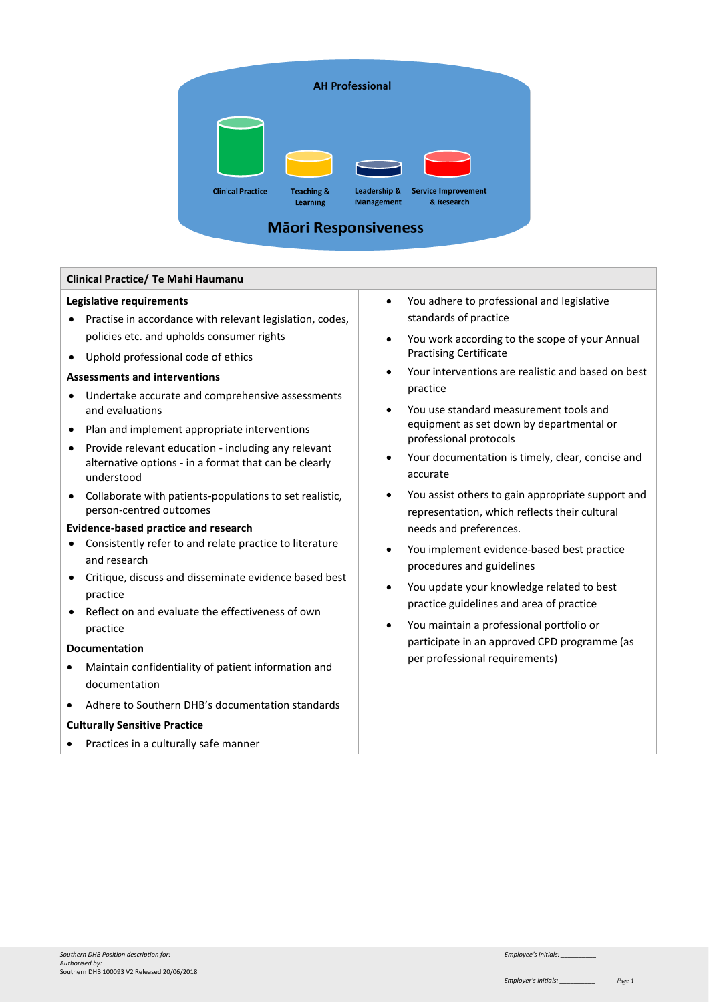

# **Clinical Practice/ Te Mahi Haumanu**

#### **Legislative requirements**

- Practise in accordance with relevant legislation, codes, policies etc. and upholds consumer rights
- Uphold professional code of ethics

#### **Assessments and interventions**

- Undertake accurate and comprehensive assessments and evaluations
- Plan and implement appropriate interventions
- Provide relevant education including any relevant alternative options - in a format that can be clearly understood
- Collaborate with patients-populations to set realistic, person-centred outcomes

#### **Evidence-based practice and research**

- Consistently refer to and relate practice to literature and research
- Critique, discuss and disseminate evidence based best practice
- Reflect on and evaluate the effectiveness of own practice

#### **Documentation**

- Maintain confidentiality of patient information and documentation
- Adhere to Southern DHB's documentation standards

### **Culturally Sensitive Practice**

• Practices in a culturally safe manner

- You adhere to professional and legislative standards of practice
- You work according to the scope of your Annual Practising Certificate
- Your interventions are realistic and based on best practice
- You use standard measurement tools and equipment as set down by departmental or professional protocols
- Your documentation is timely, clear, concise and accurate
- You assist others to gain appropriate support and representation, which reflects their cultural needs and preferences.
- You implement evidence-based best practice procedures and guidelines
- You update your knowledge related to best practice guidelines and area of practice
- You maintain a professional portfolio or participate in an approved CPD programme (as per professional requirements)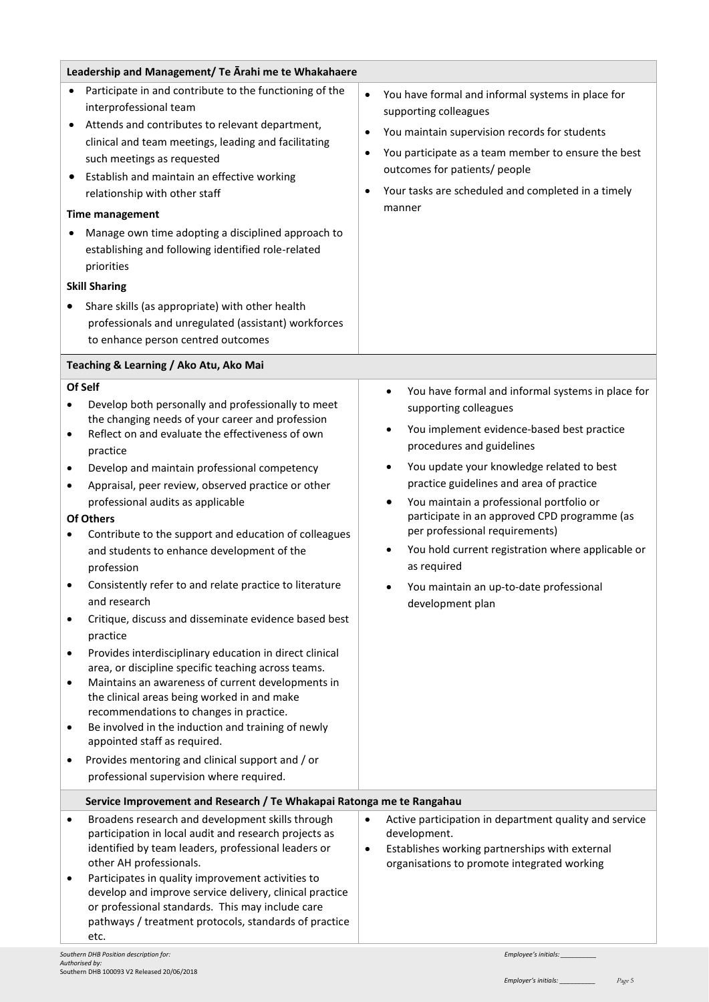| Leadership and Management/ Te Arahi me te Whakahaere        |                                                                                                                                                                                                                                                                                                                                                                                                                                                                                                                                                                                                                                                                                                                                                                                                                                                                                                                                                                                                                                                                   |                                  |                                                                                                                                                                                                                                                                                                                                                                                                                                                                                                                              |
|-------------------------------------------------------------|-------------------------------------------------------------------------------------------------------------------------------------------------------------------------------------------------------------------------------------------------------------------------------------------------------------------------------------------------------------------------------------------------------------------------------------------------------------------------------------------------------------------------------------------------------------------------------------------------------------------------------------------------------------------------------------------------------------------------------------------------------------------------------------------------------------------------------------------------------------------------------------------------------------------------------------------------------------------------------------------------------------------------------------------------------------------|----------------------------------|------------------------------------------------------------------------------------------------------------------------------------------------------------------------------------------------------------------------------------------------------------------------------------------------------------------------------------------------------------------------------------------------------------------------------------------------------------------------------------------------------------------------------|
|                                                             | Participate in and contribute to the functioning of the<br>interprofessional team<br>Attends and contributes to relevant department,<br>clinical and team meetings, leading and facilitating<br>such meetings as requested<br>Establish and maintain an effective working<br>relationship with other staff<br><b>Time management</b><br>Manage own time adopting a disciplined approach to<br>establishing and following identified role-related<br>priorities<br><b>Skill Sharing</b><br>Share skills (as appropriate) with other health<br>professionals and unregulated (assistant) workforces<br>to enhance person centred outcomes                                                                                                                                                                                                                                                                                                                                                                                                                           | $\bullet$<br>$\bullet$<br>٠<br>٠ | You have formal and informal systems in place for<br>supporting colleagues<br>You maintain supervision records for students<br>You participate as a team member to ensure the best<br>outcomes for patients/ people<br>Your tasks are scheduled and completed in a timely<br>manner                                                                                                                                                                                                                                          |
|                                                             | Teaching & Learning / Ako Atu, Ako Mai                                                                                                                                                                                                                                                                                                                                                                                                                                                                                                                                                                                                                                                                                                                                                                                                                                                                                                                                                                                                                            |                                  |                                                                                                                                                                                                                                                                                                                                                                                                                                                                                                                              |
| Of Self<br>$\bullet$<br>$\bullet$<br>$\bullet$<br>$\bullet$ | Develop both personally and professionally to meet<br>the changing needs of your career and profession<br>Reflect on and evaluate the effectiveness of own<br>practice<br>Develop and maintain professional competency<br>Appraisal, peer review, observed practice or other<br>professional audits as applicable<br><b>Of Others</b><br>Contribute to the support and education of colleagues<br>and students to enhance development of the<br>profession<br>Consistently refer to and relate practice to literature<br>and research<br>Critique, discuss and disseminate evidence based best<br>practice<br>Provides interdisciplinary education in direct clinical<br>area, or discipline specific teaching across teams.<br>Maintains an awareness of current developments in<br>the clinical areas being worked in and make<br>recommendations to changes in practice.<br>Be involved in the induction and training of newly<br>appointed staff as required.<br>Provides mentoring and clinical support and / or<br>professional supervision where required. |                                  | You have formal and informal systems in place for<br>$\bullet$<br>supporting colleagues<br>You implement evidence-based best practice<br>procedures and guidelines<br>You update your knowledge related to best<br>practice guidelines and area of practice<br>You maintain a professional portfolio or<br>participate in an approved CPD programme (as<br>per professional requirements)<br>You hold current registration where applicable or<br>as required<br>You maintain an up-to-date professional<br>development plan |
|                                                             | Service Improvement and Research / Te Whakapai Ratonga me te Rangahau                                                                                                                                                                                                                                                                                                                                                                                                                                                                                                                                                                                                                                                                                                                                                                                                                                                                                                                                                                                             |                                  |                                                                                                                                                                                                                                                                                                                                                                                                                                                                                                                              |
|                                                             | Broadens research and development skills through<br>participation in local audit and research projects as<br>identified by team leaders, professional leaders or<br>other AH professionals.<br>Participates in quality improvement activities to<br>develop and improve service delivery, clinical practice<br>or professional standards. This may include care<br>pathways / treatment protocols, standards of practice<br>etc.<br>Southern DHR Position description for                                                                                                                                                                                                                                                                                                                                                                                                                                                                                                                                                                                         | $\bullet$<br>$\bullet$           | Active participation in department quality and service<br>development.<br>Establishes working partnerships with external<br>organisations to promote integrated working<br>Employee's initials:                                                                                                                                                                                                                                                                                                                              |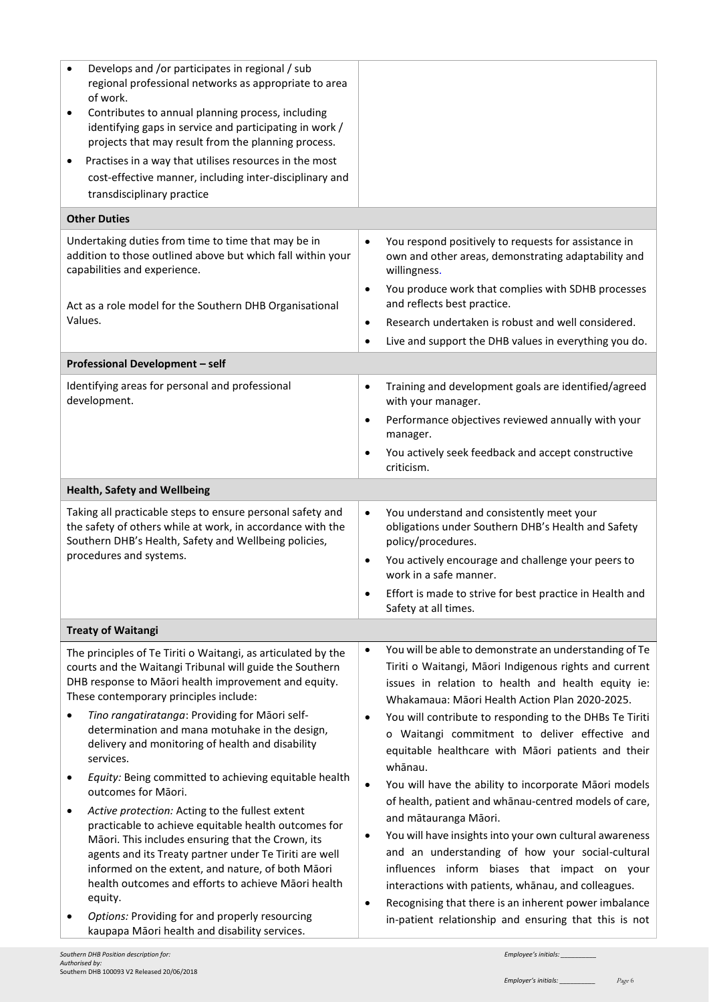| Develops and /or participates in regional / sub<br>regional professional networks as appropriate to area<br>of work.<br>Contributes to annual planning process, including<br>٠<br>identifying gaps in service and participating in work /<br>projects that may result from the planning process.<br>Practises in a way that utilises resources in the most<br>٠<br>cost-effective manner, including inter-disciplinary and<br>transdisciplinary practice                                                                                                                                                                                                                                                                                                                                                                               |                                                                                                                                                                                                                                                                                                                                                                                                                                                                                                                                                                                                                                                                                                                                                                                                                                                                                   |
|----------------------------------------------------------------------------------------------------------------------------------------------------------------------------------------------------------------------------------------------------------------------------------------------------------------------------------------------------------------------------------------------------------------------------------------------------------------------------------------------------------------------------------------------------------------------------------------------------------------------------------------------------------------------------------------------------------------------------------------------------------------------------------------------------------------------------------------|-----------------------------------------------------------------------------------------------------------------------------------------------------------------------------------------------------------------------------------------------------------------------------------------------------------------------------------------------------------------------------------------------------------------------------------------------------------------------------------------------------------------------------------------------------------------------------------------------------------------------------------------------------------------------------------------------------------------------------------------------------------------------------------------------------------------------------------------------------------------------------------|
| <b>Other Duties</b>                                                                                                                                                                                                                                                                                                                                                                                                                                                                                                                                                                                                                                                                                                                                                                                                                    |                                                                                                                                                                                                                                                                                                                                                                                                                                                                                                                                                                                                                                                                                                                                                                                                                                                                                   |
| Undertaking duties from time to time that may be in<br>addition to those outlined above but which fall within your<br>capabilities and experience.<br>Act as a role model for the Southern DHB Organisational                                                                                                                                                                                                                                                                                                                                                                                                                                                                                                                                                                                                                          | You respond positively to requests for assistance in<br>$\bullet$<br>own and other areas, demonstrating adaptability and<br>willingness.<br>You produce work that complies with SDHB processes<br>$\bullet$<br>and reflects best practice.                                                                                                                                                                                                                                                                                                                                                                                                                                                                                                                                                                                                                                        |
| Values.                                                                                                                                                                                                                                                                                                                                                                                                                                                                                                                                                                                                                                                                                                                                                                                                                                | Research undertaken is robust and well considered.<br>$\bullet$                                                                                                                                                                                                                                                                                                                                                                                                                                                                                                                                                                                                                                                                                                                                                                                                                   |
|                                                                                                                                                                                                                                                                                                                                                                                                                                                                                                                                                                                                                                                                                                                                                                                                                                        | Live and support the DHB values in everything you do.<br>$\bullet$                                                                                                                                                                                                                                                                                                                                                                                                                                                                                                                                                                                                                                                                                                                                                                                                                |
| Professional Development - self                                                                                                                                                                                                                                                                                                                                                                                                                                                                                                                                                                                                                                                                                                                                                                                                        |                                                                                                                                                                                                                                                                                                                                                                                                                                                                                                                                                                                                                                                                                                                                                                                                                                                                                   |
| Identifying areas for personal and professional<br>development.                                                                                                                                                                                                                                                                                                                                                                                                                                                                                                                                                                                                                                                                                                                                                                        | Training and development goals are identified/agreed<br>$\bullet$<br>with your manager.<br>Performance objectives reviewed annually with your<br>$\bullet$<br>manager.<br>You actively seek feedback and accept constructive<br>$\bullet$<br>criticism.                                                                                                                                                                                                                                                                                                                                                                                                                                                                                                                                                                                                                           |
| <b>Health, Safety and Wellbeing</b>                                                                                                                                                                                                                                                                                                                                                                                                                                                                                                                                                                                                                                                                                                                                                                                                    |                                                                                                                                                                                                                                                                                                                                                                                                                                                                                                                                                                                                                                                                                                                                                                                                                                                                                   |
| Taking all practicable steps to ensure personal safety and<br>the safety of others while at work, in accordance with the<br>Southern DHB's Health, Safety and Wellbeing policies,<br>procedures and systems.                                                                                                                                                                                                                                                                                                                                                                                                                                                                                                                                                                                                                           | You understand and consistently meet your<br>$\bullet$<br>obligations under Southern DHB's Health and Safety<br>policy/procedures.<br>You actively encourage and challenge your peers to<br>$\bullet$<br>work in a safe manner.<br>Effort is made to strive for best practice in Health and<br>Safety at all times.                                                                                                                                                                                                                                                                                                                                                                                                                                                                                                                                                               |
| <b>Treaty of Waitangi</b>                                                                                                                                                                                                                                                                                                                                                                                                                                                                                                                                                                                                                                                                                                                                                                                                              |                                                                                                                                                                                                                                                                                                                                                                                                                                                                                                                                                                                                                                                                                                                                                                                                                                                                                   |
| The principles of Te Tiriti o Waitangi, as articulated by the<br>courts and the Waitangi Tribunal will guide the Southern<br>DHB response to Māori health improvement and equity.<br>These contemporary principles include:<br>Tino rangatiratanga: Providing for Māori self-<br>determination and mana motuhake in the design,<br>delivery and monitoring of health and disability<br>services.<br>Equity: Being committed to achieving equitable health<br>outcomes for Māori.<br>Active protection: Acting to the fullest extent<br>٠<br>practicable to achieve equitable health outcomes for<br>Māori. This includes ensuring that the Crown, its<br>agents and its Treaty partner under Te Tiriti are well<br>informed on the extent, and nature, of both Māori<br>health outcomes and efforts to achieve Māori health<br>equity. | You will be able to demonstrate an understanding of Te<br>٠<br>Tiriti o Waitangi, Māori Indigenous rights and current<br>issues in relation to health and health equity ie:<br>Whakamaua: Māori Health Action Plan 2020-2025.<br>You will contribute to responding to the DHBs Te Tiriti<br>$\bullet$<br>o Waitangi commitment to deliver effective and<br>equitable healthcare with Māori patients and their<br>whānau.<br>You will have the ability to incorporate Māori models<br>$\bullet$<br>of health, patient and whanau-centred models of care,<br>and mātauranga Māori.<br>You will have insights into your own cultural awareness<br>٠<br>and an understanding of how your social-cultural<br>influences inform biases that impact on your<br>interactions with patients, whanau, and colleagues.<br>Recognising that there is an inherent power imbalance<br>$\bullet$ |
| Options: Providing for and properly resourcing<br>kaupapa Māori health and disability services.                                                                                                                                                                                                                                                                                                                                                                                                                                                                                                                                                                                                                                                                                                                                        | in-patient relationship and ensuring that this is not                                                                                                                                                                                                                                                                                                                                                                                                                                                                                                                                                                                                                                                                                                                                                                                                                             |